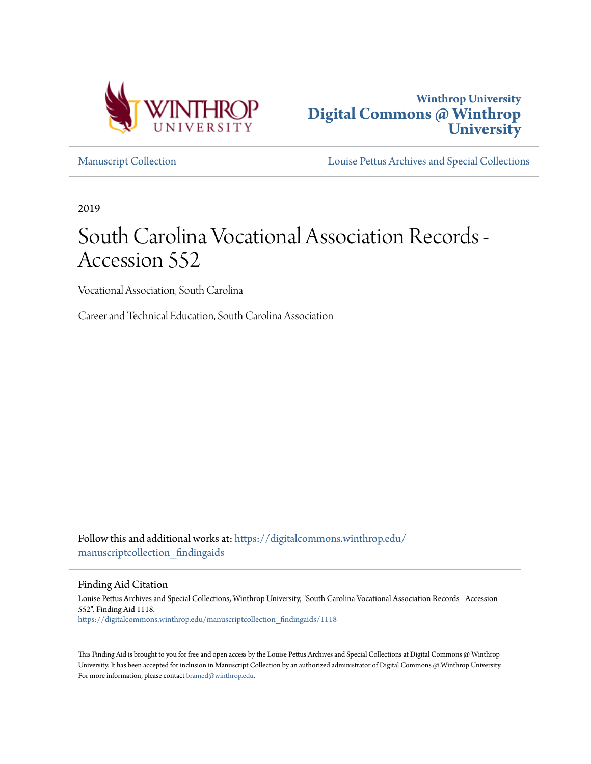



[Manuscript Collection](https://digitalcommons.winthrop.edu/manuscriptcollection_findingaids?utm_source=digitalcommons.winthrop.edu%2Fmanuscriptcollection_findingaids%2F1118&utm_medium=PDF&utm_campaign=PDFCoverPages) [Louise Pettus Archives and Special Collections](https://digitalcommons.winthrop.edu/pettus_archives?utm_source=digitalcommons.winthrop.edu%2Fmanuscriptcollection_findingaids%2F1118&utm_medium=PDF&utm_campaign=PDFCoverPages)

2019

# South Carolina Vocational Association Records - Accession 552

Vocational Association, South Carolina

Career and Technical Education, South Carolina Association

Follow this and additional works at: [https://digitalcommons.winthrop.edu/](https://digitalcommons.winthrop.edu/manuscriptcollection_findingaids?utm_source=digitalcommons.winthrop.edu%2Fmanuscriptcollection_findingaids%2F1118&utm_medium=PDF&utm_campaign=PDFCoverPages) manuscriptcollection findingaids

Finding Aid Citation

Louise Pettus Archives and Special Collections, Winthrop University, "South Carolina Vocational Association Records - Accession 552". Finding Aid 1118. [https://digitalcommons.winthrop.edu/manuscriptcollection\\_findingaids/1118](https://digitalcommons.winthrop.edu/manuscriptcollection_findingaids/1118?utm_source=digitalcommons.winthrop.edu%2Fmanuscriptcollection_findingaids%2F1118&utm_medium=PDF&utm_campaign=PDFCoverPages)

This Finding Aid is brought to you for free and open access by the Louise Pettus Archives and Special Collections at Digital Commons @ Winthrop University. It has been accepted for inclusion in Manuscript Collection by an authorized administrator of Digital Commons @ Winthrop University. For more information, please contact [bramed@winthrop.edu.](mailto:bramed@winthrop.edu)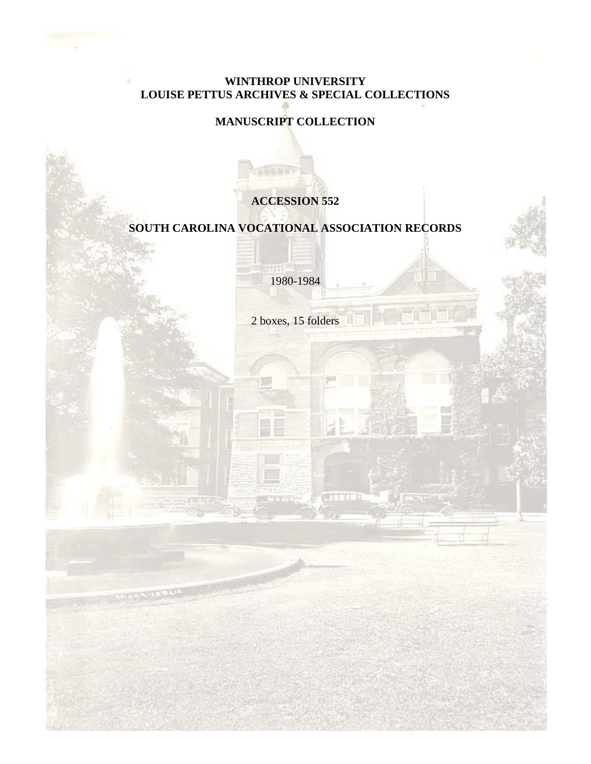## **WINTHROP UNIVERSITY LOUISE PETTUS ARCHIVES & SPECIAL COLLECTIONS**

## **MANUSCRIPT COLLECTION**

## **ACCESSION 552**

## **SOUTH CAROLINA VOCATIONAL ASSOCIATION RECORDS**

1980-1984

2 boxes, 15 folders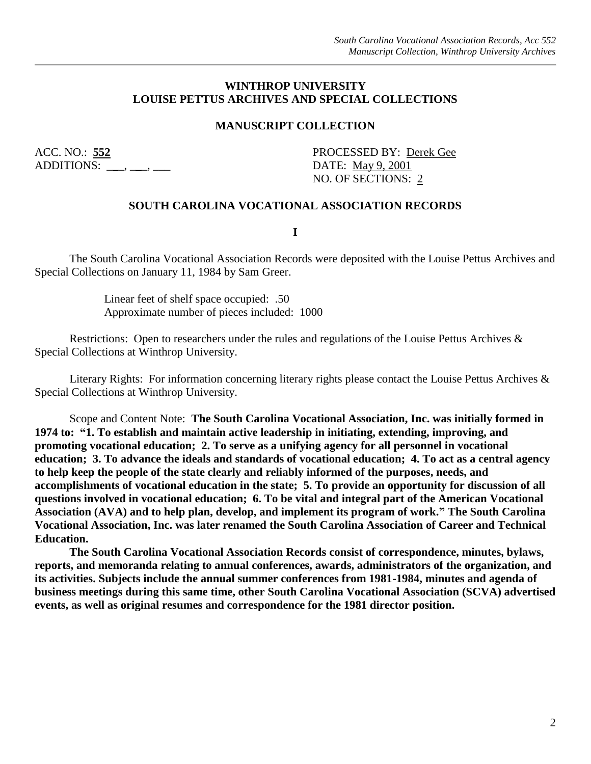#### **WINTHROP UNIVERSITY LOUISE PETTUS ARCHIVES AND SPECIAL COLLECTIONS**

#### **MANUSCRIPT COLLECTION**

ADDITIONS: \_\_\_, \_\_, \_\_\_, \_\_\_ DATE: May 9, 2001

ACC. NO.: **552** PROCESSED BY: Derek Gee NO. OF SECTIONS: 2

#### **SOUTH CAROLINA VOCATIONAL ASSOCIATION RECORDS**

**I**

The South Carolina Vocational Association Records were deposited with the Louise Pettus Archives and Special Collections on January 11, 1984 by Sam Greer.

> Linear feet of shelf space occupied: .50 Approximate number of pieces included: 1000

Restrictions: Open to researchers under the rules and regulations of the Louise Pettus Archives & Special Collections at Winthrop University.

Literary Rights: For information concerning literary rights please contact the Louise Pettus Archives & Special Collections at Winthrop University.

Scope and Content Note: **The South Carolina Vocational Association, Inc. was initially formed in 1974 to: "1. To establish and maintain active leadership in initiating, extending, improving, and promoting vocational education; 2. To serve as a unifying agency for all personnel in vocational education; 3. To advance the ideals and standards of vocational education; 4. To act as a central agency to help keep the people of the state clearly and reliably informed of the purposes, needs, and accomplishments of vocational education in the state; 5. To provide an opportunity for discussion of all questions involved in vocational education; 6. To be vital and integral part of the American Vocational Association (AVA) and to help plan, develop, and implement its program of work." The South Carolina Vocational Association, Inc. was later renamed the South Carolina Association of Career and Technical Education.** 

**The South Carolina Vocational Association Records consist of correspondence, minutes, bylaws, reports, and memoranda relating to annual conferences, awards, administrators of the organization, and its activities. Subjects include the annual summer conferences from 1981-1984, minutes and agenda of business meetings during this same time, other South Carolina Vocational Association (SCVA) advertised events, as well as original resumes and correspondence for the 1981 director position.**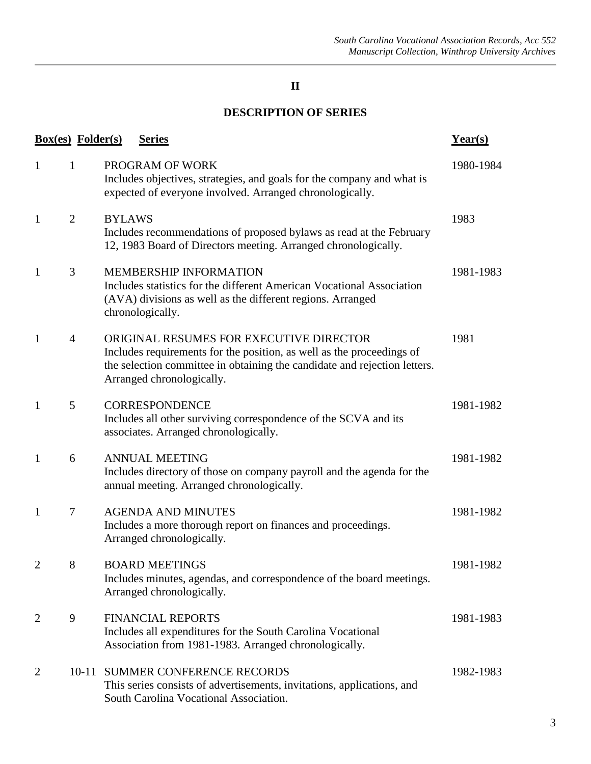## **II**

## **DESCRIPTION OF SERIES**

| <b>Box(es)</b> Folder(s) |                |               | <b>Series</b>                                                                                                                                                                                                              | $Year(s)$ |
|--------------------------|----------------|---------------|----------------------------------------------------------------------------------------------------------------------------------------------------------------------------------------------------------------------------|-----------|
| $\mathbf{1}$             | $\mathbf{1}$   |               | PROGRAM OF WORK<br>Includes objectives, strategies, and goals for the company and what is<br>expected of everyone involved. Arranged chronologically.                                                                      | 1980-1984 |
| $\mathbf{1}$             | $\overline{2}$ | <b>BYLAWS</b> | Includes recommendations of proposed bylaws as read at the February<br>12, 1983 Board of Directors meeting. Arranged chronologically.                                                                                      | 1983      |
| $\mathbf{1}$             | 3              |               | <b>MEMBERSHIP INFORMATION</b><br>Includes statistics for the different American Vocational Association<br>(AVA) divisions as well as the different regions. Arranged<br>chronologically.                                   | 1981-1983 |
| 1                        | $\overline{4}$ |               | ORIGINAL RESUMES FOR EXECUTIVE DIRECTOR<br>Includes requirements for the position, as well as the proceedings of<br>the selection committee in obtaining the candidate and rejection letters.<br>Arranged chronologically. | 1981      |
| 1                        | 5              |               | <b>CORRESPONDENCE</b><br>Includes all other surviving correspondence of the SCVA and its<br>associates. Arranged chronologically.                                                                                          | 1981-1982 |
| 1                        | 6              |               | <b>ANNUAL MEETING</b><br>Includes directory of those on company payroll and the agenda for the<br>annual meeting. Arranged chronologically.                                                                                | 1981-1982 |
| $\mathbf{1}$             | $\tau$         |               | <b>AGENDA AND MINUTES</b><br>Includes a more thorough report on finances and proceedings.<br>Arranged chronologically.                                                                                                     | 1981-1982 |
|                          | 8              |               | <b>BOARD MEETINGS</b><br>Includes minutes, agendas, and correspondence of the board meetings.<br>Arranged chronologically.                                                                                                 | 1981-1982 |
| 2                        | 9              |               | <b>FINANCIAL REPORTS</b><br>Includes all expenditures for the South Carolina Vocational<br>Association from 1981-1983. Arranged chronologically.                                                                           | 1981-1983 |
| $\overline{2}$           | $10 - 11$      |               | SUMMER CONFERENCE RECORDS<br>This series consists of advertisements, invitations, applications, and<br>South Carolina Vocational Association.                                                                              | 1982-1983 |